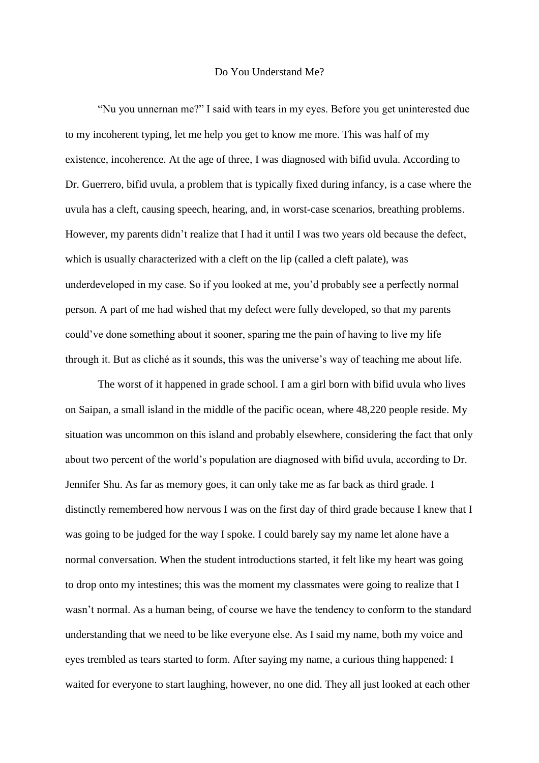## Do You Understand Me?

"Nu you unnernan me?" I said with tears in my eyes. Before you get uninterested due to my incoherent typing, let me help you get to know me more. This was half of my existence, incoherence. At the age of three, I was diagnosed with bifid uvula. According to Dr. Guerrero, bifid uvula, a problem that is typically fixed during infancy, is a case where the uvula has a cleft, causing speech, hearing, and, in worst-case scenarios, breathing problems. However, my parents didn't realize that I had it until I was two years old because the defect, which is usually characterized with a cleft on the lip (called a cleft palate), was underdeveloped in my case. So if you looked at me, you'd probably see a perfectly normal person. A part of me had wished that my defect were fully developed, so that my parents could've done something about it sooner, sparing me the pain of having to live my life through it. But as cliché as it sounds, this was the universe's way of teaching me about life.

The worst of it happened in grade school. I am a girl born with bifid uvula who lives on Saipan, a small island in the middle of the pacific ocean, where 48,220 people reside. My situation was uncommon on this island and probably elsewhere, considering the fact that only about two percent of the world's population are diagnosed with bifid uvula, according to Dr. Jennifer Shu. As far as memory goes, it can only take me as far back as third grade. I distinctly remembered how nervous I was on the first day of third grade because I knew that I was going to be judged for the way I spoke. I could barely say my name let alone have a normal conversation. When the student introductions started, it felt like my heart was going to drop onto my intestines; this was the moment my classmates were going to realize that I wasn't normal. As a human being, of course we have the tendency to conform to the standard understanding that we need to be like everyone else. As I said my name, both my voice and eyes trembled as tears started to form. After saying my name, a curious thing happened: I waited for everyone to start laughing, however, no one did. They all just looked at each other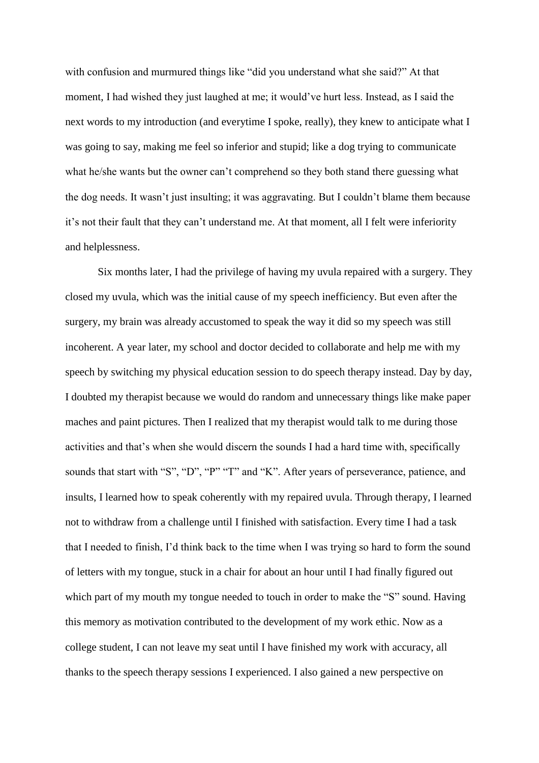with confusion and murmured things like "did you understand what she said?" At that moment, I had wished they just laughed at me; it would've hurt less. Instead, as I said the next words to my introduction (and everytime I spoke, really), they knew to anticipate what I was going to say, making me feel so inferior and stupid; like a dog trying to communicate what he/she wants but the owner can't comprehend so they both stand there guessing what the dog needs. It wasn't just insulting; it was aggravating. But I couldn't blame them because it's not their fault that they can't understand me. At that moment, all I felt were inferiority and helplessness.

Six months later, I had the privilege of having my uvula repaired with a surgery. They closed my uvula, which was the initial cause of my speech inefficiency. But even after the surgery, my brain was already accustomed to speak the way it did so my speech was still incoherent. A year later, my school and doctor decided to collaborate and help me with my speech by switching my physical education session to do speech therapy instead. Day by day, I doubted my therapist because we would do random and unnecessary things like make paper maches and paint pictures. Then I realized that my therapist would talk to me during those activities and that's when she would discern the sounds I had a hard time with, specifically sounds that start with "S", "D", "P" "T" and "K". After years of perseverance, patience, and insults, I learned how to speak coherently with my repaired uvula. Through therapy, I learned not to withdraw from a challenge until I finished with satisfaction. Every time I had a task that I needed to finish, I'd think back to the time when I was trying so hard to form the sound of letters with my tongue, stuck in a chair for about an hour until I had finally figured out which part of my mouth my tongue needed to touch in order to make the "S" sound. Having this memory as motivation contributed to the development of my work ethic. Now as a college student, I can not leave my seat until I have finished my work with accuracy, all thanks to the speech therapy sessions I experienced. I also gained a new perspective on